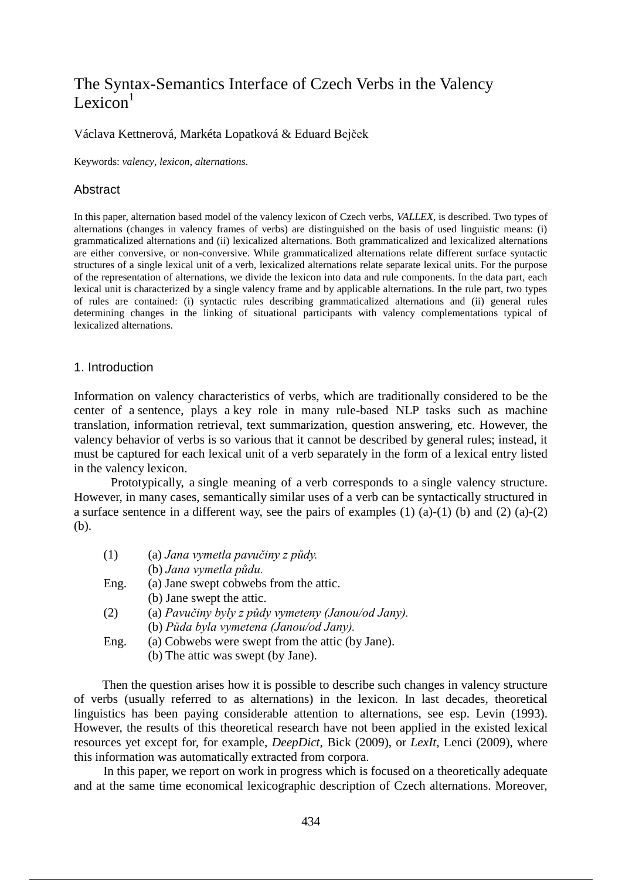# The Syntax-Semantics Interface of Czech Verbs in the Valency Lexicon $<sup>1</sup>$ </sup>

### Václava Kettnerová, Markéta Lopatková & Eduard Bejček

Keywords: *valency*, *lexicon*, *alternations*.

### Abstract

In this paper, alternation based model of the valency lexicon of Czech verbs, *VALLEX*, is described. Two types of alternations (changes in valency frames of verbs) are distinguished on the basis of used linguistic means: (i) grammaticalized alternations and (ii) lexicalized alternations. Both grammaticalized and lexicalized alternations are either conversive, or non-conversive. While grammaticalized alternations relate different surface syntactic structures of a single lexical unit of a verb, lexicalized alternations relate separate lexical units. For the purpose of the representation of alternations, we divide the lexicon into data and rule components. In the data part, each lexical unit is characterized by a single valency frame and by applicable alternations. In the rule part, two types of rules are contained: (i) syntactic rules describing grammaticalized alternations and (ii) general rules determining changes in the linking of situational participants with valency complementations typical of lexicalized alternations.

### 1. Introduction

Information on valency characteristics of verbs, which are traditionally considered to be the center of a sentence, plays a key role in many rule-based NLP tasks such as machine translation, information retrieval, text summarization, question answering, etc. However, the valency behavior of verbs is so various that it cannot be described by general rules; instead, it must be captured for each lexical unit of a verb separately in the form of a lexical entry listed in the valency lexicon.

Prototypically, a single meaning of a verb corresponds to a single valency structure. However, in many cases, semantically similar uses of a verb can be syntactically structured in a surface sentence in a different way, see the pairs of examples  $(1)$   $(a)-(1)$   $(b)$  and  $(2)$   $(a)-(2)$ (b).

| (1)  | (a) Jana vymetla pavučiny z půdy.                  |  |  |
|------|----------------------------------------------------|--|--|
|      | (b) Jana vymetla půdu.                             |  |  |
| Eng. | (a) Jane swept cobwebs from the attic.             |  |  |
|      | (b) Jane swept the attic.                          |  |  |
| (2)  | (a) Pavučiny byly z půdy vymeteny (Janou/od Jany). |  |  |
|      | (b) Půda byla vymetena (Janou/od Jany).            |  |  |
| Eng. | (a) Cobwebs were swept from the attic (by Jane).   |  |  |
|      | (b) The attic was swept (by Jane).                 |  |  |

Then the question arises how it is possible to describe such changes in valency structure of verbs (usually referred to as alternations) in the lexicon. In last decades, theoretical linguistics has been paying considerable attention to alternations, see esp. Levin (1993). However, the results of this theoretical research have not been applied in the existed lexical resources yet except for, for example, *DeepDict*, Bick (2009), or *LexIt*, Lenci (2009), where this information was automatically extracted from corpora.

In this paper, we report on work in progress which is focused on a theoretically adequate and at the same time economical lexicographic description of Czech alternations. Moreover,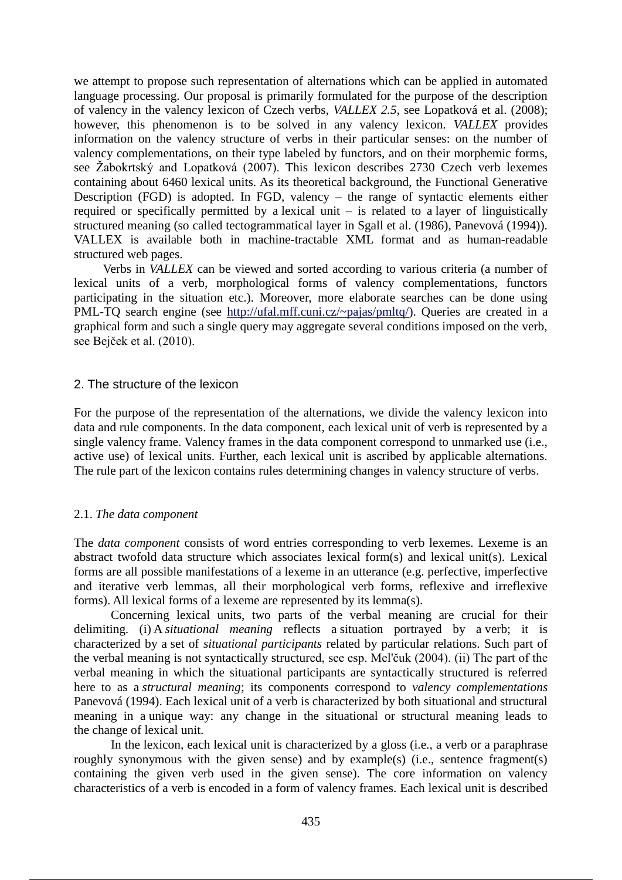we attempt to propose such representation of alternations which can be applied in automated language processing. Our proposal is primarily formulated for the purpose of the description of valency in the valency lexicon of Czech verbs, *VALLEX 2.5*, see Lopatková et al. (2008); however, this phenomenon is to be solved in any valency lexicon. *VALLEX* provides information on the valency structure of verbs in their particular senses: on the number of valency complementations, on their type labeled by functors, and on their morphemic forms, see Žabokrtský and Lopatková (2007). This lexicon describes 2730 Czech verb lexemes containing about 6460 lexical units. As its theoretical background, the Functional Generative Description (FGD) is adopted. In FGD, valency – the range of syntactic elements either required or specifically permitted by a lexical unit – is related to a layer of linguistically structured meaning (so called tectogrammatical layer in Sgall et al. (1986), Panevová (1994)). VALLEX is available both in machine-tractable XML format and as human-readable structured web pages.

Verbs in *VALLEX* can be viewed and sorted according to various criteria (a number of lexical units of a verb, morphological forms of valency complementations, functors participating in the situation etc.). Moreover, more elaborate searches can be done using PML-TO search engine (see http://ufal.mff.cuni.cz/~pajas/pmltq/). Queries are created in a graphical form and such a single query may aggregate several conditions imposed on the verb, see Bejček et al. (2010).

#### 2. The structure of the lexicon

For the purpose of the representation of the alternations, we divide the valency lexicon into data and rule components. In the data component, each lexical unit of verb is represented by a single valency frame. Valency frames in the data component correspond to unmarked use (i.e., active use) of lexical units. Further, each lexical unit is ascribed by applicable alternations. The rule part of the lexicon contains rules determining changes in valency structure of verbs.

### 2.1. *The data component*

The *data component* consists of word entries corresponding to verb lexemes. Lexeme is an abstract twofold data structure which associates lexical form(s) and lexical unit(s). Lexical forms are all possible manifestations of a lexeme in an utterance (e.g. perfective, imperfective and iterative verb lemmas, all their morphological verb forms, reflexive and irreflexive forms). All lexical forms of a lexeme are represented by its lemma(s).

Concerning lexical units, two parts of the verbal meaning are crucial for their delimiting. (i) A *situational meaning* reflects a situation portrayed by a verb; it is characterized by a set of *situational participants* related by particular relations. Such part of the verbal meaning is not syntactically structured, see esp. Mel'čuk (2004). (ii) The part of the verbal meaning in which the situational participants are syntactically structured is referred here to as a *structural meaning*; its components correspond to *valency complementations* Panevová (1994). Each lexical unit of a verb is characterized by both situational and structural meaning in a unique way: any change in the situational or structural meaning leads to the change of lexical unit.

In the lexicon, each lexical unit is characterized by a gloss (i.e., a verb or a paraphrase roughly synonymous with the given sense) and by example(s) (i.e., sentence fragment(s) containing the given verb used in the given sense). The core information on valency characteristics of a verb is encoded in a form of valency frames. Each lexical unit is described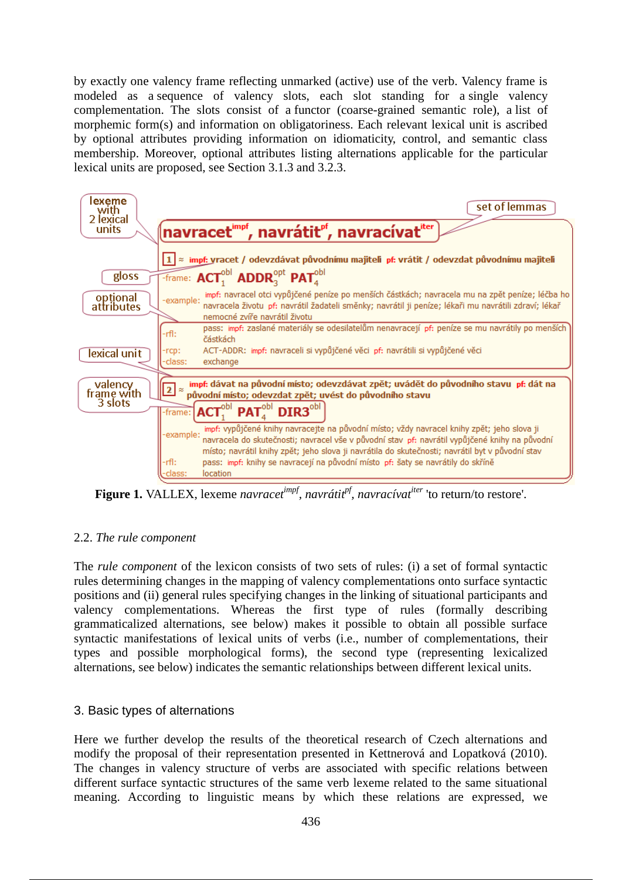by exactly one valency frame reflecting unmarked (active) use of the verb. Valency frame is modeled as a sequence of valency slots, each slot standing for a single valency complementation. The slots consist of a functor (coarse-grained semantic role), a list of morphemic form(s) and information on obligatoriness. Each relevant lexical unit is ascribed by optional attributes providing information on idiomaticity, control, and semantic class membership. Moreover, optional attributes listing alternations applicable for the particular lexical units are proposed, see Section 3.1.3 and 3.2.3.



**Figure 1.** VALLEX, lexeme *navracetimpf, navrátitpf, navracívatiter* 'to return/to restore'.

# 2.2. *The rule component*

The *rule component* of the lexicon consists of two sets of rules: (i) a set of formal syntactic rules determining changes in the mapping of valency complementations onto surface syntactic positions and (ii) general rules specifying changes in the linking of situational participants and valency complementations. Whereas the first type of rules (formally describing grammaticalized alternations, see below) makes it possible to obtain all possible surface syntactic manifestations of lexical units of verbs (i.e., number of complementations, their types and possible morphological forms), the second type (representing lexicalized alternations, see below) indicates the semantic relationships between different lexical units.

# 3. Basic types of alternations

Here we further develop the results of the theoretical research of Czech alternations and modify the proposal of their representation presented in Kettnerová and Lopatková (2010). The changes in valency structure of verbs are associated with specific relations between different surface syntactic structures of the same verb lexeme related to the same situational meaning. According to linguistic means by which these relations are expressed, we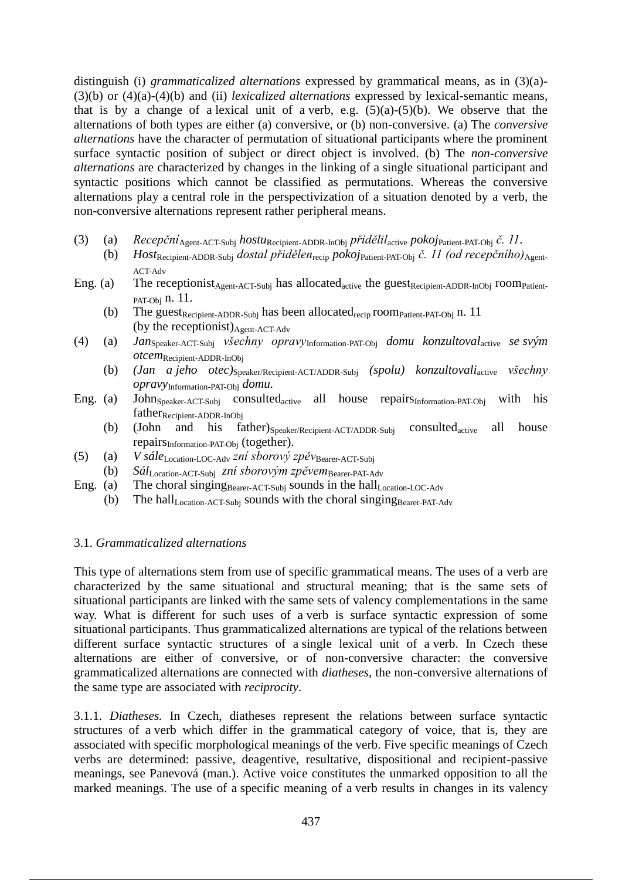distinguish (i) *grammaticalized alternations* expressed by grammatical means, as in (3)(a)- (3)(b) or (4)(a)-(4)(b) and (ii) *lexicalized alternations* expressed by lexical-semantic means, that is by a change of a lexical unit of a verb, e.g.  $(5)(a)-(5)(b)$ . We observe that the alternations of both types are either (a) conversive, or (b) non-conversive. (a) The *conversive alternations* have the character of permutation of situational participants where the prominent surface syntactic position of subject or direct object is involved. (b) The *non-conversive alternations* are characterized by changes in the linking of a single situational participant and syntactic positions which cannot be classified as permutations. Whereas the conversive alternations play a central role in the perspectivization of a situation denoted by a verb, the non-conversive alternations represent rather peripheral means.

- (3) (a) *Recepční*Agent-ACT-Subj *hostu*Recipient-ADDR-InObj *přidělil*active *pokoj*Patient-PAT-Obj *č. 11*.
	- (b) *Host*Recipient-ADDR-Subj *dostal přidělen*recip *pokoj*Patient-PAT-Obj *č. 11 (od recepčního)*Agent-ACT-Adv
- Eng. (a) The receptionist<sub>Agent-ACT-Subj</sub> has allocated<sub>active</sub> the guest<sub>Recipient-ADDR-InObj</sub> room<sub>Patient-</sub> PAT-Obj n. 11.
	- (b) The guest<sub>Recipient-ADDR-Subj</sub> has been allocated<sub>recip</sub> room<sub>Patient-PAT-Obj</sub> n. 11 (by the receptionist) $_{A\text{gent-ACT-Adv}}$
- (4) (a) *Jan*Speaker-ACT-Subj *všechny opravy*Information-PAT-Obj *domu konzultoval*active *se svým otcem*Recipient-ADDR-InObj
	- (b) *(Jan a jeho otec)*Speaker/Recipient-ACT/ADDR-Subj *(spolu) konzultovali*active *všechny opravy*Information-PAT-Obj *domu.*
- Eng. (a) John<sub>Speaker-ACT-Subj</sub> consulted<sub>active</sub> all house repairS<sub>Information-PAT-Obj</sub> with his father<sub>Recipient-ADDR-InObj</sub>
	- (b) (John and his father) $S_{\text{peaker/Recipient-ACT/ADDR-Subj}}$  consulted<sub>active</sub> all house repairsInformation-PAT-Obj (together).
- (5) (a) *V sále*Location-LOC-Adv *zní sborový zpěv*Bearer-ACT-Subj
- (b) *Sál*Location-ACT-Subj *zní sborovým zpěvem*Bearer-PAT-Adv
- Eng. (a) The choral singing Bearer-ACT-Subj sounds in the hall Location-LOC-Adv
	- (b) The hall<sub>Location-ACT-Subj</sub> sounds with the choral singing  $Bearer-PAT-Adv$

### 3.1. *Grammaticalized alternations*

This type of alternations stem from use of specific grammatical means. The uses of a verb are characterized by the same situational and structural meaning; that is the same sets of situational participants are linked with the same sets of valency complementations in the same way. What is different for such uses of a verb is surface syntactic expression of some situational participants. Thus grammaticalized alternations are typical of the relations between different surface syntactic structures of a single lexical unit of a verb. In Czech these alternations are either of conversive, or of non-conversive character: the conversive grammaticalized alternations are connected with *diatheses*, the non-conversive alternations of the same type are associated with *reciprocity*.

3.1.1. *Diatheses.* In Czech, diatheses represent the relations between surface syntactic structures of a verb which differ in the grammatical category of voice, that is, they are associated with specific morphological meanings of the verb. Five specific meanings of Czech verbs are determined: passive, deagentive, resultative, dispositional and recipient-passive meanings, see Panevová (man.). Active voice constitutes the unmarked opposition to all the marked meanings. The use of a specific meaning of a verb results in changes in its valency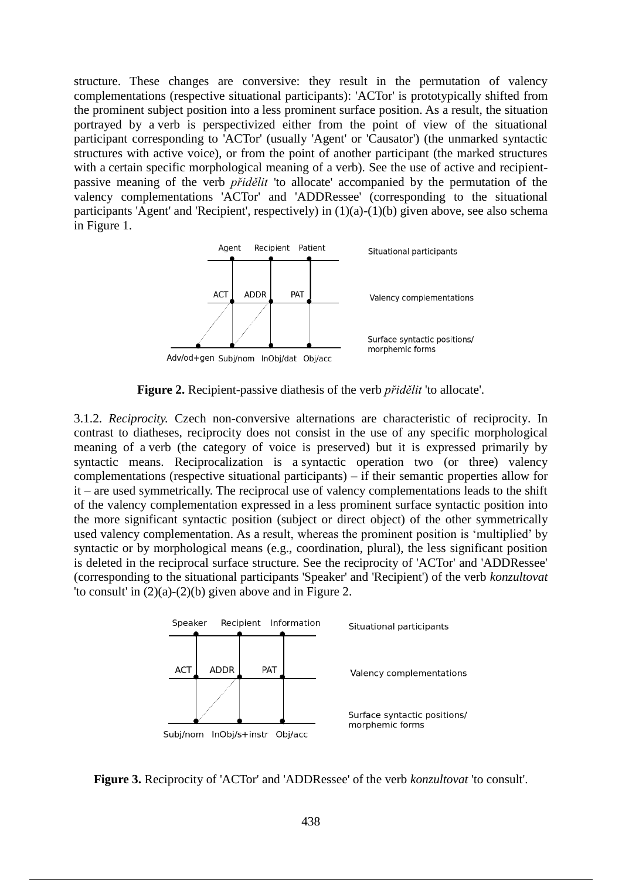structure. These changes are conversive: they result in the permutation of valency complementations (respective situational participants): 'ACTor' is prototypically shifted from the prominent subject position into a less prominent surface position. As a result, the situation portrayed by a verb is perspectivized either from the point of view of the situational participant corresponding to 'ACTor' (usually 'Agent' or 'Causator') (the unmarked syntactic structures with active voice), or from the point of another participant (the marked structures with a certain specific morphological meaning of a verb). See the use of active and recipientpassive meaning of the verb *přidělit* 'to allocate' accompanied by the permutation of the valency complementations 'ACTor' and 'ADDRessee' (corresponding to the situational participants 'Agent' and 'Recipient', respectively) in (1)(a)-(1)(b) given above, see also schema in Figure 1.



**Figure 2.** Recipient-passive diathesis of the verb *přidělit* 'to allocate'.

3.1.2. *Reciprocity.* Czech non-conversive alternations are characteristic of reciprocity. In contrast to diatheses, reciprocity does not consist in the use of any specific morphological meaning of a verb (the category of voice is preserved) but it is expressed primarily by syntactic means. Reciprocalization is a syntactic operation two (or three) valency complementations (respective situational participants) – if their semantic properties allow for it – are used symmetrically. The reciprocal use of valency complementations leads to the shift of the valency complementation expressed in a less prominent surface syntactic position into the more significant syntactic position (subject or direct object) of the other symmetrically used valency complementation. As a result, whereas the prominent position is 'multiplied' by syntactic or by morphological means (e.g., coordination, plural), the less significant position is deleted in the reciprocal surface structure. See the reciprocity of 'ACTor' and 'ADDRessee' (corresponding to the situational participants 'Speaker' and 'Recipient') of the verb *konzultovat* 'to consult' in  $(2)(a)-(2)(b)$  given above and in Figure 2.



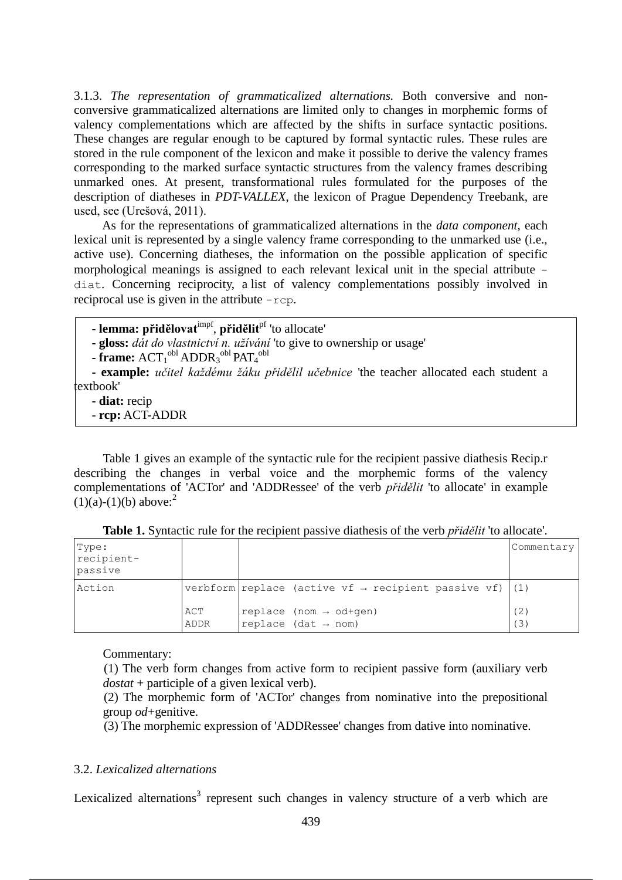3.1.3. *The representation of grammaticalized alternations.* Both conversive and nonconversive grammaticalized alternations are limited only to changes in morphemic forms of valency complementations which are affected by the shifts in surface syntactic positions. These changes are regular enough to be captured by formal syntactic rules. These rules are stored in the rule component of the lexicon and make it possible to derive the valency frames corresponding to the marked surface syntactic structures from the valency frames describing unmarked ones. At present, transformational rules formulated for the purposes of the description of diatheses in *PDT-VALLEX*, the lexicon of Prague Dependency Treebank, are used, see (Urešová, 2011).

As for the representations of grammaticalized alternations in the *data component*, each lexical unit is represented by a single valency frame corresponding to the unmarked use (i.e., active use). Concerning diatheses, the information on the possible application of specific morphological meanings is assigned to each relevant lexical unit in the special attribute diat. Concerning reciprocity, a list of valency complementations possibly involved in reciprocal use is given in the attribute -rcp.

**- lemma: přidělovat**impf , **přidělit**pf 'to allocate'

**- gloss:** *dát do vlastnictví n. užívání* 'to give to ownership or usage'

**- frame:**  $ACT_1^{obl}$   $ADDR_3^{obl}$   $PATH_4^{obl}$ 

**- example:** *učitel každému žáku přidělil učebnice* 'the teacher allocated each student a textbook'

**- diat:** recip

- **rcp:** ACT-ADDR

Table 1 gives an example of the syntactic rule for the recipient passive diathesis Recip.r describing the changes in verbal voice and the morphemic forms of the valency complementations of 'ACTor' and 'ADDRessee' of the verb *přidělit* 'to allocate' in example  $(1)(a)-(1)(b)$  above:<sup>2</sup>

| Type:<br>recipient-<br>passive |             |                                                                       | Commentary |
|--------------------------------|-------------|-----------------------------------------------------------------------|------------|
| Action                         |             | verbform replace (active vf $\rightarrow$ recipient passive vf) (1)   |            |
|                                | ACT<br>ADDR | replace (nom $\rightarrow$ od+qen)<br>replace (dat $\rightarrow$ nom) | (2)<br>(3) |

**Table 1.** Syntactic rule for the recipient passive diathesis of the verb *přidělit* 'to allocate'.

Commentary:

(1) The verb form changes from active form to recipient passive form (auxiliary verb *dostat* + participle of a given lexical verb).

(2) The morphemic form of 'ACTor' changes from nominative into the prepositional group *od*+genitive.

(3) The morphemic expression of 'ADDRessee' changes from dative into nominative.

### 3.2. *Lexicalized alternations*

Lexicalized alternations<sup>3</sup> represent such changes in valency structure of a verb which are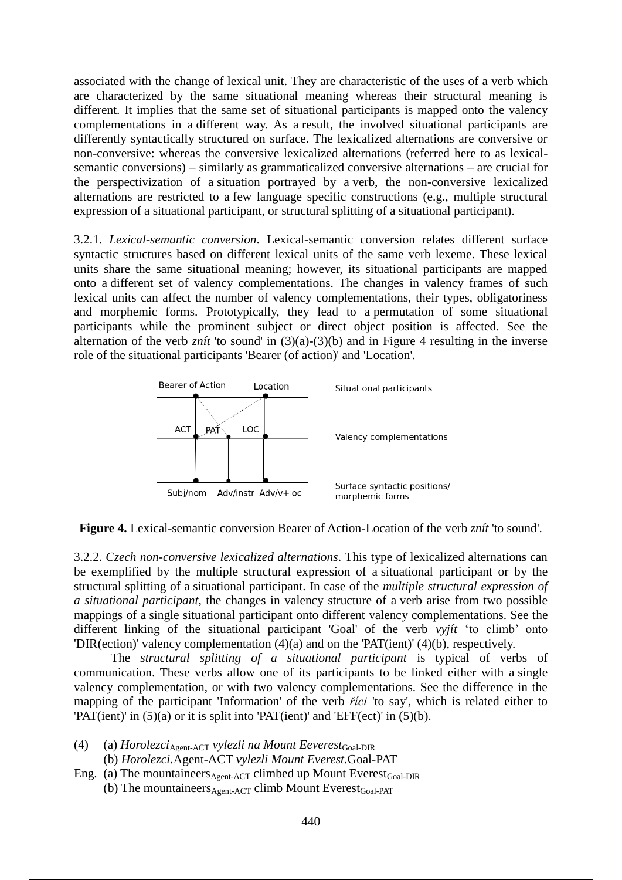associated with the change of lexical unit. They are characteristic of the uses of a verb which are characterized by the same situational meaning whereas their structural meaning is different. It implies that the same set of situational participants is mapped onto the valency complementations in a different way. As a result, the involved situational participants are differently syntactically structured on surface. The lexicalized alternations are conversive or non-conversive: whereas the conversive lexicalized alternations (referred here to as lexicalsemantic conversions) – similarly as grammaticalized conversive alternations – are crucial for the perspectivization of a situation portrayed by a verb, the non-conversive lexicalized alternations are restricted to a few language specific constructions (e.g., multiple structural expression of a situational participant, or structural splitting of a situational participant).

3.2.1. *Lexical-semantic conversion*. Lexical-semantic conversion relates different surface syntactic structures based on different lexical units of the same verb lexeme. These lexical units share the same situational meaning; however, its situational participants are mapped onto a different set of valency complementations. The changes in valency frames of such lexical units can affect the number of valency complementations, their types, obligatoriness and morphemic forms. Prototypically, they lead to a permutation of some situational participants while the prominent subject or direct object position is affected. See the alternation of the verb *znít* 'to sound' in (3)(a)-(3)(b) and in Figure 4 resulting in the inverse role of the situational participants 'Bearer (of action)' and 'Location'.





3.2.2. *Czech non-conversive lexicalized alternations*. This type of lexicalized alternations can be exemplified by the multiple structural expression of a situational participant or by the structural splitting of a situational participant. In case of the *multiple structural expression of a situational participant*, the changes in valency structure of a verb arise from two possible mappings of a single situational participant onto different valency complementations. See the different linking of the situational participant 'Goal' of the verb *vyjít* 'to climb' onto 'DIR(ection)' valency complementation (4)(a) and on the 'PAT(ient)' (4)(b), respectively.

The *structural splitting of a situational participant* is typical of verbs of communication. These verbs allow one of its participants to be linked either with a single valency complementation, or with two valency complementations. See the difference in the mapping of the participant 'Information' of the verb *říci* 'to say', which is related either to 'PAT(ient)' in (5)(a) or it is split into 'PAT(ient)' and 'EFF(ect)' in (5)(b).

- (4) (a) *Horolezci*Agent-ACT *vylezli na Mount Eeverest*Goal-DIR (b) *Horolezci.*Agent-ACT *vylezli Mount Everest*.Goal-PAT
- Eng. (a) The mountaineers $_{Agen \text{-}ACT}$  climbed up Mount Everest<sub>Goal-DIR</sub> (b) The mountaineers  $A_{\text{cent-ACT}}$  climb Mount Everest  $_{\text{Goal-PATH}}$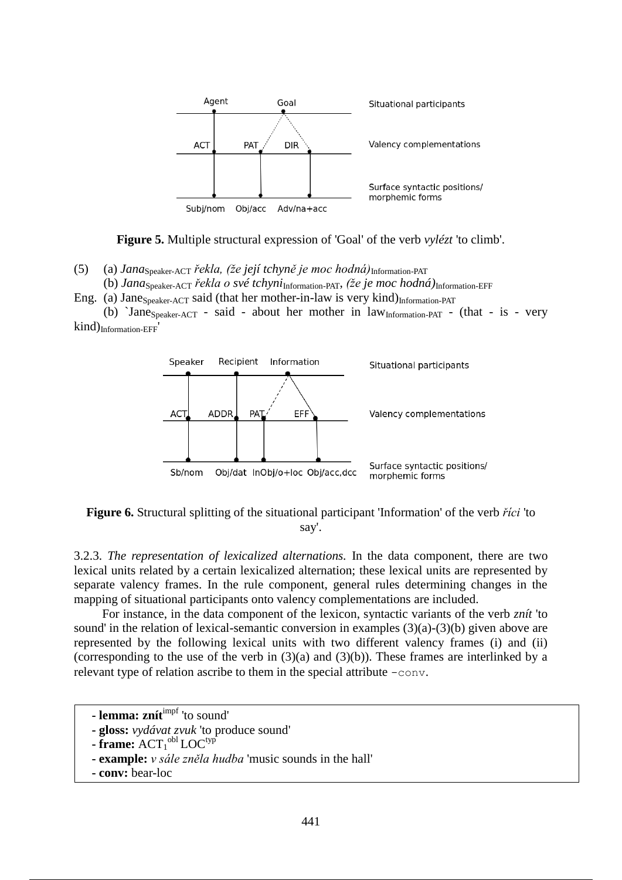

**Figure 5.** Multiple structural expression of 'Goal' of the verb *vylézt* 'to climb'.

(5) (a) *Jana*Speaker-ACT *řekla, (že její tchyně je moc hodná)*Information-PAT

(b) *Jana*Speaker-ACT *řekla o své tchyni*Information-PAT, *(že je moc hodná)*Information-EFF

Eng. (a) Jane $_{Speaker-ACT}$  said (that her mother-in-law is very kind) $_{Information-PATH}$ 

(b) `Jane<sub>Speaker-ACT</sub> - said - about her mother in  $law<sub>Information-PATH</sub>$  - (that - is - very kind)Information-EFF'



**Figure 6.** Structural splitting of the situational participant 'Information' of the verb *říci* 'to say'.

3.2.3. *The representation of lexicalized alternations.* In the data component, there are two lexical units related by a certain lexicalized alternation; these lexical units are represented by separate valency frames. In the rule component, general rules determining changes in the mapping of situational participants onto valency complementations are included.

For instance, in the data component of the lexicon, syntactic variants of the verb *znít* 'to sound' in the relation of lexical-semantic conversion in examples  $(3)(a)-(3)(b)$  given above are represented by the following lexical units with two different valency frames (i) and (ii) (corresponding to the use of the verb in  $(3)(a)$  and  $(3)(b)$ ). These frames are interlinked by a relevant type of relation ascribe to them in the special attribute -conv.

```
- lemma: znítimpf 'to sound'
```

```
- gloss: vydávat zvuk 'to produce sound'
```

```
- frame: ACT<sub>1</sub><sup>obl</sup> LOC<sup>typ</sup>
```
- **- example:** *v sále zněla hudba* 'music sounds in the hall'
- **- conv:** bear-loc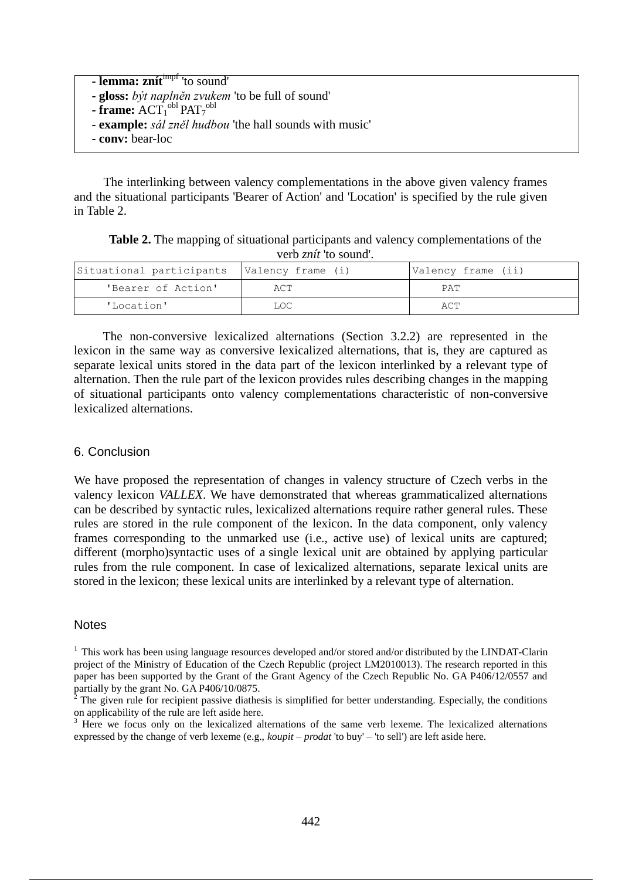| - lemma: znít <sup>impí</sup> 'to sound'                       |
|----------------------------------------------------------------|
| - gloss: být naplněn zvukem 'to be full of sound'              |
| - frame: $ACT1obl PAT7obl$                                     |
| <b>- example:</b> sál zněl hudbou 'the hall sounds with music' |
| - conv: bear-loc                                               |
|                                                                |

The interlinking between valency complementations in the above given valency frames and the situational participants 'Bearer of Action' and 'Location' is specified by the rule given in Table 2.

**Table 2.** The mapping of situational participants and valency complementations of the verb *znít* 'to sound'.

| Situational participants   Valency frame (i) |      | Valency frame (ii) |
|----------------------------------------------|------|--------------------|
| 'Bearer of Action'                           | ACT  | PAT                |
| 'Location'                                   | LOC. | ACT                |

The non-conversive lexicalized alternations (Section 3.2.2) are represented in the lexicon in the same way as conversive lexicalized alternations, that is, they are captured as separate lexical units stored in the data part of the lexicon interlinked by a relevant type of alternation. Then the rule part of the lexicon provides rules describing changes in the mapping of situational participants onto valency complementations characteristic of non-conversive lexicalized alternations.

#### 6. Conclusion

We have proposed the representation of changes in valency structure of Czech verbs in the valency lexicon *VALLEX*. We have demonstrated that whereas grammaticalized alternations can be described by syntactic rules, lexicalized alternations require rather general rules. These rules are stored in the rule component of the lexicon. In the data component, only valency frames corresponding to the unmarked use (i.e., active use) of lexical units are captured; different (morpho)syntactic uses of a single lexical unit are obtained by applying particular rules from the rule component. In case of lexicalized alternations, separate lexical units are stored in the lexicon; these lexical units are interlinked by a relevant type of alternation.

#### **Notes**

<sup>3</sup> Here we focus only on the lexicalized alternations of the same verb lexeme. The lexicalized alternations expressed by the change of verb lexeme (e.g., *koupit – prodat* 'to buy' – 'to sell') are left aside here.

 $1$  This work has been using language resources developed and/or stored and/or distributed by the LINDAT-Clarin project of the Ministry of Education of the Czech Republic (project LM2010013). The research reported in this paper has been supported by the Grant of the Grant Agency of the Czech Republic No. GA P406/12/0557 and partially by the grant No. GA P406/10/0875.

<sup>&</sup>lt;sup>2</sup> The given rule for recipient passive diathesis is simplified for better understanding. Especially, the conditions on applicability of the rule are left aside here.